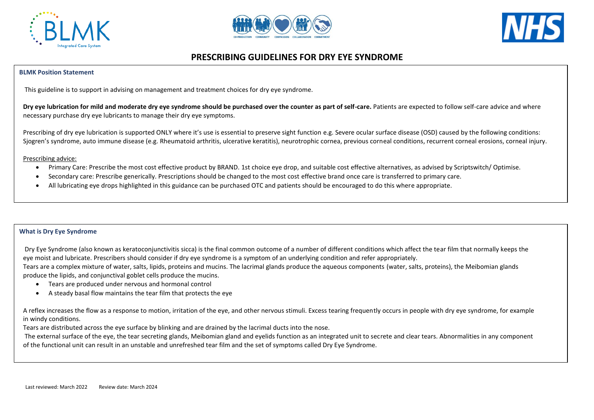





# **PRESCRIBING GUIDELINES FOR DRY EYE SYNDROME**

### **BLMK Position Statement**

This guideline is to support in advising on management and treatment choices for dry eye syndrome.

**Dry eye lubrication for mild and moderate dry eye syndrome should be purchased over the counter as part of self-care.** Patients are expected to follow self-care advice and where necessary purchase dry eye lubricants to manage their dry eye symptoms.

Prescribing of dry eye lubrication is supported ONLY where it's use is essential to preserve sight function e.g. Severe ocular surface disease (OSD) caused by the following conditions: Sjogren's syndrome, auto immune disease (e.g. Rheumatoid arthritis, ulcerative keratitis), neurotrophic cornea, previous corneal conditions, recurrent corneal erosions, corneal injury.

### Prescribing advice:

- Primary Care: Prescribe the most cost effective product by BRAND. 1st choice eye drop, and suitable cost effective alternatives, as advised by Scriptswitch/ Optimise.
- Secondary care: Prescribe generically. Prescriptions should be changed to the most cost effective brand once care is transferred to primary care.
- All lubricating eye drops highlighted in this guidance can be purchased OTC and patients should be encouraged to do this where appropriate.

### **What is Dry Eye Syndrome**

Dry Eye Syndrome (also known as keratoconjunctivitis sicca) is the final common outcome of a number of different conditions which affect the tear film that normally keeps the eye moist and lubricate. Prescribers should consider if dry eye syndrome is a symptom of an underlying condition and refer appropriately.

Tears are a complex mixture of water, salts, lipids, proteins and mucins. The lacrimal glands produce the aqueous components (water, salts, proteins), the Meibomian glands produce the lipids, and conjunctival goblet cells produce the mucins.

- Tears are produced under nervous and hormonal control
- A steady basal flow maintains the tear film that protects the eye

A reflex increases the flow as a response to motion, irritation of the eye, and other nervous stimuli. Excess tearing frequently occurs in people with dry eye syndrome, for example in windy conditions.

Tears are distributed across the eye surface by blinking and are drained by the lacrimal ducts into the nose.

The external surface of the eye, the tear secreting glands, Meibomian gland and eyelids function as an integrated unit to secrete and clear tears. Abnormalities in any component of the functional unit can result in an unstable and unrefreshed tear film and the set of symptoms called Dry Eye Syndrome.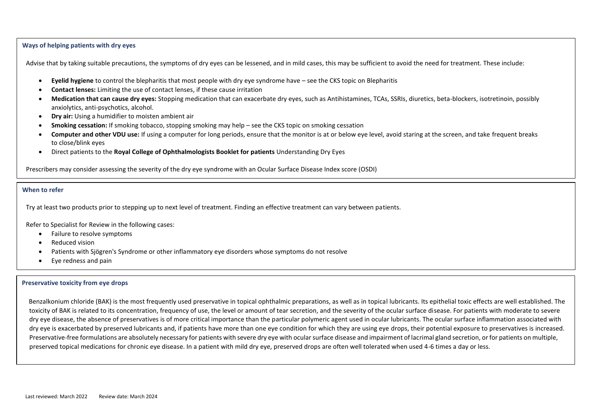### **Ways of helping patients with dry eyes**

Advise that by taking suitable precautions, the symptoms of dry eyes can be lessened, and in mild cases, this may be sufficient to avoid the need for treatment. These include:

- **Eyelid hygiene** to control the blepharitis that most people with dry eye syndrome have see the CKS topic on Blepharitis
- **Contact lenses:** Limiting the use of contact lenses, if these cause irritation
- **Medication that can cause dry eyes:** Stopping medication that can exacerbate dry eyes, such as Antihistamines, TCAs, SSRIs, diuretics, beta-blockers, isotretinoin, possibly anxiolytics, anti-psychotics, alcohol.
- **Dry air:** Using a humidifier to moisten ambient air
- **Smoking cessation:** If smoking tobacco, stopping smoking may help see the CKS topic on smoking cessation
- **Computer and other VDU use:** If using a computer for long periods, ensure that the monitor is at or below eye level, avoid staring at the screen, and take frequent breaks to close/blink eyes
- Direct patients to the **Royal College of Ophthalmologists Booklet for patients** Understanding Dry Eyes

Prescribers may consider assessing the severity of the dry eye syndrome with an Ocular Surface Disease Index score (OSDI)

### **When to refer**

Try at least two products prior to stepping up to next level of treatment. Finding an effective treatment can vary between patients.

Refer to Specialist for Review in the following cases:

- Failure to resolve symptoms
- Reduced vision
- Patients with Sjögren's Syndrome or other inflammatory eye disorders whose symptoms do not resolve
- Eye redness and pain

#### **Preservative toxicity from eye drops**

Benzalkonium chloride (BAK) is the most frequently used preservative in topical ophthalmic preparations, as well as in topical lubricants. Its epithelial toxic effects are well established. The toxicity of BAK is related to its concentration, frequency of use, the level or amount of tear secretion, and the severity of the ocular surface disease. For patients with moderate to severe dry eye disease, the absence of preservatives is of more critical importance than the particular polymeric agent used in ocular lubricants. The ocular surface inflammation associated with dry eye is exacerbated by preserved lubricants and, if patients have more than one eye condition for which they are using eye drops, their potential exposure to preservatives is increased. Preservative-free formulations are absolutely necessary for patients with severe dry eve with ocular surface disease and impairment of lacrimal gland secretion, or for patients on multiple. preserved topical medications for chronic eye disease. In a patient with mild dry eye, preserved drops are often well tolerated when used 4-6 times a day or less.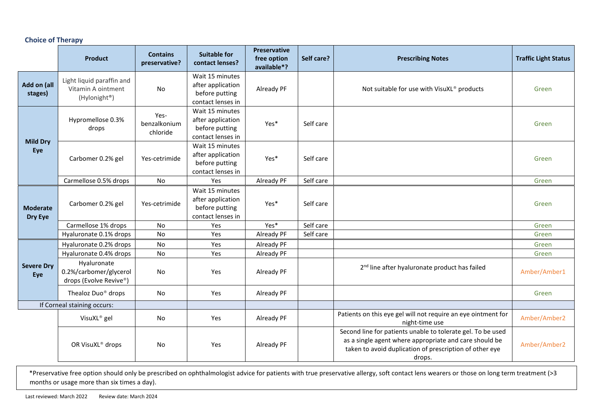## **Choice of Therapy**

|                             | <b>Product</b>                                                               | <b>Contains</b><br>preservative? | <b>Suitable for</b><br>contact lenses?                                      | <b>Preservative</b><br>free option<br>available*? | Self care? | <b>Prescribing Notes</b>                                                                                                                                                                   | <b>Traffic Light Status</b> |
|-----------------------------|------------------------------------------------------------------------------|----------------------------------|-----------------------------------------------------------------------------|---------------------------------------------------|------------|--------------------------------------------------------------------------------------------------------------------------------------------------------------------------------------------|-----------------------------|
| Add on (all<br>stages)      | Light liquid paraffin and<br>Vitamin A ointment<br>(Hylonight <sup>®</sup> ) | No                               | Wait 15 minutes<br>after application<br>before putting<br>contact lenses in | Already PF                                        |            | Not suitable for use with VisuXL® products                                                                                                                                                 | Green                       |
| <b>Mild Dry</b><br>Eye      | Hypromellose 0.3%<br>drops                                                   | Yes-<br>benzalkonium<br>chloride | Wait 15 minutes<br>after application<br>before putting<br>contact lenses in | Yes*                                              | Self care  |                                                                                                                                                                                            | Green                       |
|                             | Carbomer 0.2% gel                                                            | Yes-cetrimide                    | Wait 15 minutes<br>after application<br>before putting<br>contact lenses in | Yes*                                              | Self care  |                                                                                                                                                                                            | Green                       |
|                             | Carmellose 0.5% drops                                                        | <b>No</b>                        | Yes                                                                         | Already PF                                        | Self care  |                                                                                                                                                                                            | Green                       |
| <b>Moderate</b><br>Dry Eye  | Carbomer 0.2% gel                                                            | Yes-cetrimide                    | Wait 15 minutes<br>after application<br>before putting<br>contact lenses in | Yes*                                              | Self care  |                                                                                                                                                                                            | Green                       |
|                             | Carmellose 1% drops                                                          | No                               | Yes                                                                         | Yes*                                              | Self care  |                                                                                                                                                                                            | Green                       |
|                             | Hyaluronate 0.1% drops                                                       | No                               | Yes                                                                         | Already PF                                        | Self care  |                                                                                                                                                                                            | Green                       |
| <b>Severe Dry</b><br>Eye    | Hyaluronate 0.2% drops                                                       | No                               | Yes                                                                         | Already PF                                        |            |                                                                                                                                                                                            | Green                       |
|                             | Hyaluronate 0.4% drops                                                       | No                               | Yes                                                                         | Already PF                                        |            |                                                                                                                                                                                            | Green                       |
|                             | Hyaluronate<br>0.2%/carbomer/glycerol<br>drops (Evolve Revive®)              | No                               | Yes                                                                         | Already PF                                        |            | 2 <sup>nd</sup> line after hyaluronate product has failed                                                                                                                                  | Amber/Amber1                |
|                             | Thealoz Duo <sup>®</sup> drops                                               | No                               | Yes                                                                         | Already PF                                        |            |                                                                                                                                                                                            | Green                       |
| If Corneal staining occurs: |                                                                              |                                  |                                                                             |                                                   |            |                                                                                                                                                                                            |                             |
|                             | VisuXL <sup>®</sup> gel                                                      | No                               | Yes                                                                         | Already PF                                        |            | Patients on this eye gel will not require an eye ointment for<br>night-time use                                                                                                            | Amber/Amber2                |
|                             | OR VisuXL® drops                                                             | No                               | Yes                                                                         | Already PF                                        |            | Second line for patients unable to tolerate gel. To be used<br>as a single agent where appropriate and care should be<br>taken to avoid duplication of prescription of other eye<br>drops. | Amber/Amber2                |

\*Preservative free option should only be prescribed on ophthalmologist advice for patients with true preservative allergy, soft contact lens wearers or those on long term treatment (>3 months or usage more than six times a day).